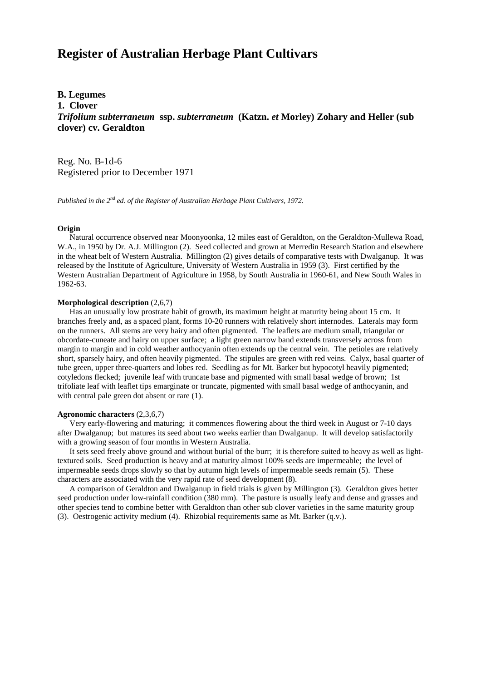# **Register of Australian Herbage Plant Cultivars**

## **B. Legumes**

**1. Clover**

*Trifolium subterraneum* **ssp.** *subterraneum* **(Katzn.** *et* **Morley) Zohary and Heller (sub clover) cv. Geraldton**

Reg. No. B-1d-6 Registered prior to December 1971

*Published in the 2nd ed. of the Register of Australian Herbage Plant Cultivars, 1972.*

#### **Origin**

 Natural occurrence observed near Moonyoonka, 12 miles east of Geraldton, on the Geraldton-Mullewa Road, W.A., in 1950 by Dr. A.J. Millington (2). Seed collected and grown at Merredin Research Station and elsewhere in the wheat belt of Western Australia. Millington (2) gives details of comparative tests with Dwalganup. It was released by the Institute of Agriculture, University of Western Australia in 1959 (3). First certified by the Western Australian Department of Agriculture in 1958, by South Australia in 1960-61, and New South Wales in 1962-63.

#### **Morphological description** (2,6,7)

 Has an unusually low prostrate habit of growth, its maximum height at maturity being about 15 cm. It branches freely and, as a spaced plant, forms 10-20 runners with relatively short internodes. Laterals may form on the runners. All stems are very hairy and often pigmented. The leaflets are medium small, triangular or obcordate-cuneate and hairy on upper surface; a light green narrow band extends transversely across from margin to margin and in cold weather anthocyanin often extends up the central vein. The petioles are relatively short, sparsely hairy, and often heavily pigmented. The stipules are green with red veins. Calyx, basal quarter of tube green, upper three-quarters and lobes red. Seedling as for Mt. Barker but hypocotyl heavily pigmented; cotyledons flecked; juvenile leaf with truncate base and pigmented with small basal wedge of brown; 1st trifoliate leaf with leaflet tips emarginate or truncate, pigmented with small basal wedge of anthocyanin, and with central pale green dot absent or rare  $(1)$ .

#### **Agronomic characters** (2,3,6,7)

 Very early-flowering and maturing; it commences flowering about the third week in August or 7-10 days after Dwalganup; but matures its seed about two weeks earlier than Dwalganup. It will develop satisfactorily with a growing season of four months in Western Australia.

 It sets seed freely above ground and without burial of the burr; it is therefore suited to heavy as well as lighttextured soils. Seed production is heavy and at maturity almost 100% seeds are impermeable; the level of impermeable seeds drops slowly so that by autumn high levels of impermeable seeds remain (5). These characters are associated with the very rapid rate of seed development (8).

 A comparison of Geraldton and Dwalganup in field trials is given by Millington (3). Geraldton gives better seed production under low-rainfall condition (380 mm). The pasture is usually leafy and dense and grasses and other species tend to combine better with Geraldton than other sub clover varieties in the same maturity group (3). Oestrogenic activity medium (4). Rhizobial requirements same as Mt. Barker (q.v.).